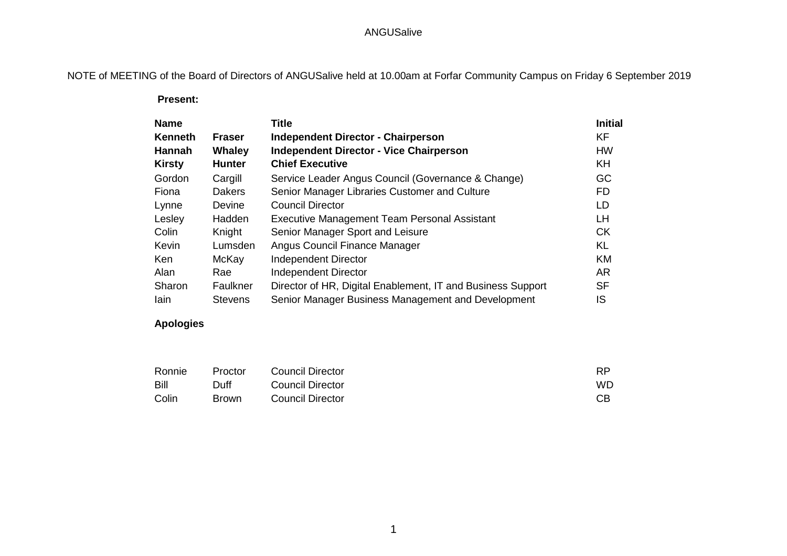## ANGUSalive

NOTE of MEETING of the Board of Directors of ANGUSalive held at 10.00am at Forfar Community Campus on Friday 6 September 2019

 **Present:**

| <b>Name</b>    |                | <b>Title</b>                                                | <b>Initial</b> |
|----------------|----------------|-------------------------------------------------------------|----------------|
| <b>Kenneth</b> | <b>Fraser</b>  | <b>Independent Director - Chairperson</b>                   | KF             |
| Hannah         | Whaley         | <b>Independent Director - Vice Chairperson</b>              | <b>HW</b>      |
| <b>Kirsty</b>  | <b>Hunter</b>  | <b>Chief Executive</b>                                      | <b>KH</b>      |
| Gordon         | Cargill        | Service Leader Angus Council (Governance & Change)          | GC             |
| Fiona          | <b>Dakers</b>  | Senior Manager Libraries Customer and Culture               | <b>FD</b>      |
| Lynne          | <b>Devine</b>  | <b>Council Director</b>                                     | LD             |
| Lesley         | <b>Hadden</b>  | Executive Management Team Personal Assistant                | LH.            |
| Colin          | Knight         | Senior Manager Sport and Leisure                            | <b>CK</b>      |
| Kevin          | Lumsden        | Angus Council Finance Manager                               | <b>KL</b>      |
| Ken            | McKay          | <b>Independent Director</b>                                 | <b>KM</b>      |
| Alan           | Rae            | <b>Independent Director</b>                                 | <b>AR</b>      |
| Sharon         | Faulkner       | Director of HR, Digital Enablement, IT and Business Support | <b>SF</b>      |
| lain           | <b>Stevens</b> | Senior Manager Business Management and Development          | IS             |

## **Apologies**

| Ronnie | Proctor      | Council Director | <b>RP</b> |
|--------|--------------|------------------|-----------|
| Bill   | Duff         | Council Director | <b>WD</b> |
| Colin  | <b>Brown</b> | Council Director | CВ        |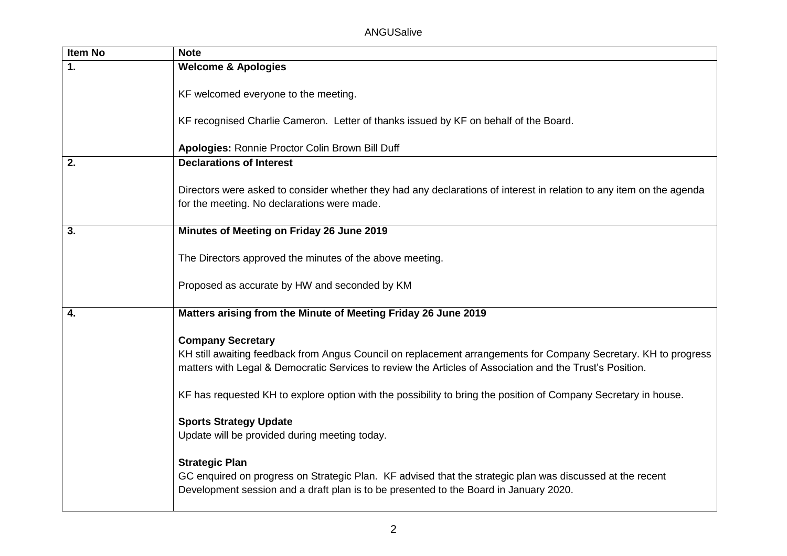| <b>Item No</b> | <b>Note</b>                                                                                                                                                                                                                                             |
|----------------|---------------------------------------------------------------------------------------------------------------------------------------------------------------------------------------------------------------------------------------------------------|
| 1.             | <b>Welcome &amp; Apologies</b>                                                                                                                                                                                                                          |
|                | KF welcomed everyone to the meeting.                                                                                                                                                                                                                    |
|                | KF recognised Charlie Cameron. Letter of thanks issued by KF on behalf of the Board.                                                                                                                                                                    |
|                | Apologies: Ronnie Proctor Colin Brown Bill Duff                                                                                                                                                                                                         |
| 2.             | <b>Declarations of Interest</b>                                                                                                                                                                                                                         |
|                | Directors were asked to consider whether they had any declarations of interest in relation to any item on the agenda<br>for the meeting. No declarations were made.                                                                                     |
| 3.             | Minutes of Meeting on Friday 26 June 2019                                                                                                                                                                                                               |
|                | The Directors approved the minutes of the above meeting.                                                                                                                                                                                                |
|                | Proposed as accurate by HW and seconded by KM                                                                                                                                                                                                           |
| 4.             | Matters arising from the Minute of Meeting Friday 26 June 2019                                                                                                                                                                                          |
|                |                                                                                                                                                                                                                                                         |
|                | <b>Company Secretary</b><br>KH still awaiting feedback from Angus Council on replacement arrangements for Company Secretary. KH to progress<br>matters with Legal & Democratic Services to review the Articles of Association and the Trust's Position. |
|                | KF has requested KH to explore option with the possibility to bring the position of Company Secretary in house.                                                                                                                                         |
|                | <b>Sports Strategy Update</b><br>Update will be provided during meeting today.                                                                                                                                                                          |
|                | <b>Strategic Plan</b><br>GC enquired on progress on Strategic Plan. KF advised that the strategic plan was discussed at the recent<br>Development session and a draft plan is to be presented to the Board in January 2020.                             |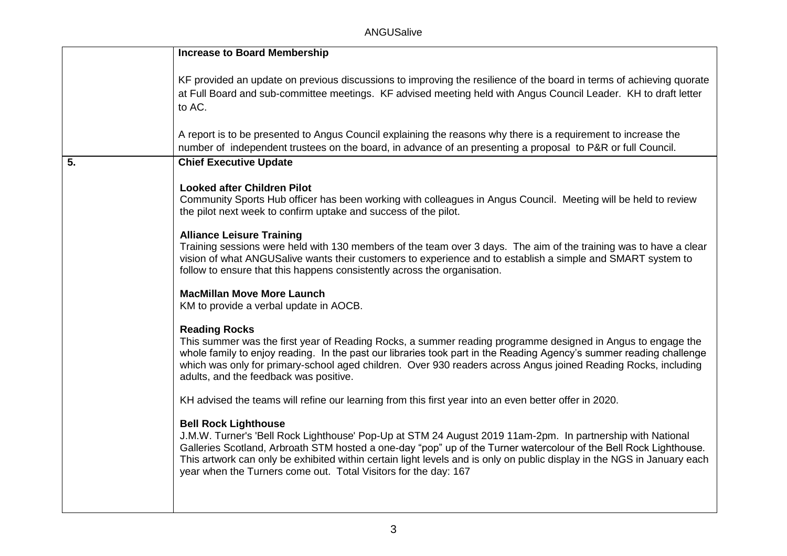|    | <b>Increase to Board Membership</b>                                                                                                                                                                                                                                                                                                                                                                                                                          |
|----|--------------------------------------------------------------------------------------------------------------------------------------------------------------------------------------------------------------------------------------------------------------------------------------------------------------------------------------------------------------------------------------------------------------------------------------------------------------|
|    | KF provided an update on previous discussions to improving the resilience of the board in terms of achieving quorate<br>at Full Board and sub-committee meetings. KF advised meeting held with Angus Council Leader. KH to draft letter<br>to AC.                                                                                                                                                                                                            |
|    | A report is to be presented to Angus Council explaining the reasons why there is a requirement to increase the<br>number of independent trustees on the board, in advance of an presenting a proposal to P&R or full Council.                                                                                                                                                                                                                                |
| 5. | <b>Chief Executive Update</b>                                                                                                                                                                                                                                                                                                                                                                                                                                |
|    | <b>Looked after Children Pilot</b><br>Community Sports Hub officer has been working with colleagues in Angus Council. Meeting will be held to review<br>the pilot next week to confirm uptake and success of the pilot.                                                                                                                                                                                                                                      |
|    | <b>Alliance Leisure Training</b><br>Training sessions were held with 130 members of the team over 3 days. The aim of the training was to have a clear<br>vision of what ANGUSalive wants their customers to experience and to establish a simple and SMART system to<br>follow to ensure that this happens consistently across the organisation.                                                                                                             |
|    | <b>MacMillan Move More Launch</b><br>KM to provide a verbal update in AOCB.                                                                                                                                                                                                                                                                                                                                                                                  |
|    | <b>Reading Rocks</b><br>This summer was the first year of Reading Rocks, a summer reading programme designed in Angus to engage the<br>whole family to enjoy reading. In the past our libraries took part in the Reading Agency's summer reading challenge<br>which was only for primary-school aged children. Over 930 readers across Angus joined Reading Rocks, including<br>adults, and the feedback was positive.                                       |
|    | KH advised the teams will refine our learning from this first year into an even better offer in 2020.                                                                                                                                                                                                                                                                                                                                                        |
|    | <b>Bell Rock Lighthouse</b><br>J.M.W. Turner's 'Bell Rock Lighthouse' Pop-Up at STM 24 August 2019 11am-2pm. In partnership with National<br>Galleries Scotland, Arbroath STM hosted a one-day "pop" up of the Turner watercolour of the Bell Rock Lighthouse.<br>This artwork can only be exhibited within certain light levels and is only on public display in the NGS in January each<br>year when the Turners come out. Total Visitors for the day: 167 |
|    |                                                                                                                                                                                                                                                                                                                                                                                                                                                              |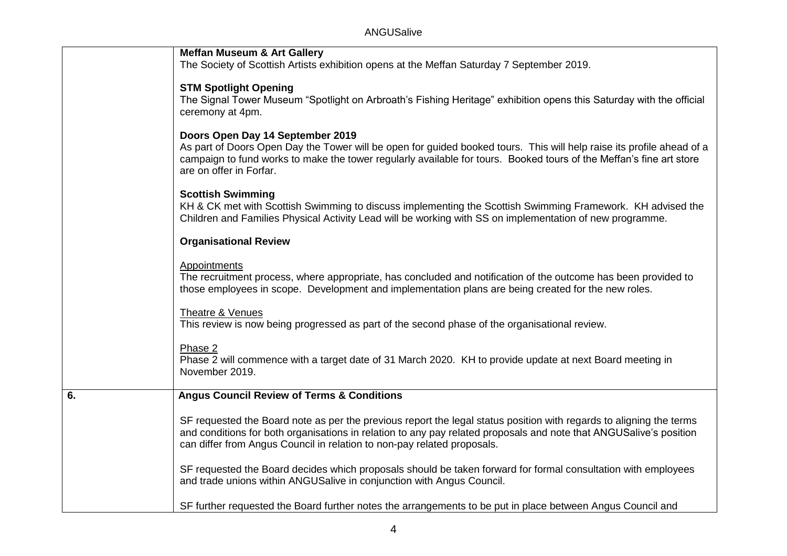|    | <b>Meffan Museum &amp; Art Gallery</b><br>The Society of Scottish Artists exhibition opens at the Meffan Saturday 7 September 2019.                                                                                                                                                                                  |
|----|----------------------------------------------------------------------------------------------------------------------------------------------------------------------------------------------------------------------------------------------------------------------------------------------------------------------|
|    | <b>STM Spotlight Opening</b><br>The Signal Tower Museum "Spotlight on Arbroath's Fishing Heritage" exhibition opens this Saturday with the official<br>ceremony at 4pm.                                                                                                                                              |
|    | Doors Open Day 14 September 2019<br>As part of Doors Open Day the Tower will be open for guided booked tours. This will help raise its profile ahead of a<br>campaign to fund works to make the tower regularly available for tours. Booked tours of the Meffan's fine art store<br>are on offer in Forfar.          |
|    | <b>Scottish Swimming</b><br>KH & CK met with Scottish Swimming to discuss implementing the Scottish Swimming Framework. KH advised the<br>Children and Families Physical Activity Lead will be working with SS on implementation of new programme.                                                                   |
|    | <b>Organisational Review</b>                                                                                                                                                                                                                                                                                         |
|    | <b>Appointments</b><br>The recruitment process, where appropriate, has concluded and notification of the outcome has been provided to<br>those employees in scope. Development and implementation plans are being created for the new roles.                                                                         |
|    | Theatre & Venues<br>This review is now being progressed as part of the second phase of the organisational review.                                                                                                                                                                                                    |
|    | Phase 2<br>Phase 2 will commence with a target date of 31 March 2020. KH to provide update at next Board meeting in<br>November 2019.                                                                                                                                                                                |
| 6. | <b>Angus Council Review of Terms &amp; Conditions</b>                                                                                                                                                                                                                                                                |
|    | SF requested the Board note as per the previous report the legal status position with regards to aligning the terms<br>and conditions for both organisations in relation to any pay related proposals and note that ANGUSalive's position<br>can differ from Angus Council in relation to non-pay related proposals. |
|    | SF requested the Board decides which proposals should be taken forward for formal consultation with employees<br>and trade unions within ANGUSalive in conjunction with Angus Council.                                                                                                                               |
|    | SF further requested the Board further notes the arrangements to be put in place between Angus Council and                                                                                                                                                                                                           |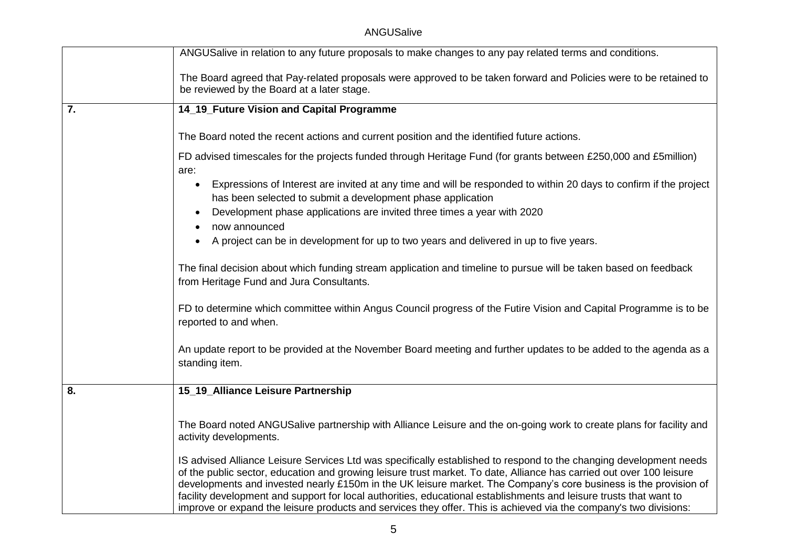ANGUSalive

|    | ANGUSalive in relation to any future proposals to make changes to any pay related terms and conditions.                                                                                                                                                                                                                                                                                                                                                                                                                                                                                                   |
|----|-----------------------------------------------------------------------------------------------------------------------------------------------------------------------------------------------------------------------------------------------------------------------------------------------------------------------------------------------------------------------------------------------------------------------------------------------------------------------------------------------------------------------------------------------------------------------------------------------------------|
|    | The Board agreed that Pay-related proposals were approved to be taken forward and Policies were to be retained to<br>be reviewed by the Board at a later stage.                                                                                                                                                                                                                                                                                                                                                                                                                                           |
| 7. | 14_19_Future Vision and Capital Programme                                                                                                                                                                                                                                                                                                                                                                                                                                                                                                                                                                 |
|    | The Board noted the recent actions and current position and the identified future actions.                                                                                                                                                                                                                                                                                                                                                                                                                                                                                                                |
|    | FD advised timescales for the projects funded through Heritage Fund (for grants between £250,000 and £5million)<br>are:                                                                                                                                                                                                                                                                                                                                                                                                                                                                                   |
|    | Expressions of Interest are invited at any time and will be responded to within 20 days to confirm if the project<br>$\bullet$<br>has been selected to submit a development phase application                                                                                                                                                                                                                                                                                                                                                                                                             |
|    | Development phase applications are invited three times a year with 2020<br>now announced                                                                                                                                                                                                                                                                                                                                                                                                                                                                                                                  |
|    | A project can be in development for up to two years and delivered in up to five years.                                                                                                                                                                                                                                                                                                                                                                                                                                                                                                                    |
|    | The final decision about which funding stream application and timeline to pursue will be taken based on feedback<br>from Heritage Fund and Jura Consultants.                                                                                                                                                                                                                                                                                                                                                                                                                                              |
|    | FD to determine which committee within Angus Council progress of the Futire Vision and Capital Programme is to be<br>reported to and when.                                                                                                                                                                                                                                                                                                                                                                                                                                                                |
|    | An update report to be provided at the November Board meeting and further updates to be added to the agenda as a<br>standing item.                                                                                                                                                                                                                                                                                                                                                                                                                                                                        |
| 8. | 15_19_Alliance Leisure Partnership                                                                                                                                                                                                                                                                                                                                                                                                                                                                                                                                                                        |
|    | The Board noted ANGUSalive partnership with Alliance Leisure and the on-going work to create plans for facility and<br>activity developments.                                                                                                                                                                                                                                                                                                                                                                                                                                                             |
|    | IS advised Alliance Leisure Services Ltd was specifically established to respond to the changing development needs<br>of the public sector, education and growing leisure trust market. To date, Alliance has carried out over 100 leisure<br>developments and invested nearly £150m in the UK leisure market. The Company's core business is the provision of<br>facility development and support for local authorities, educational establishments and leisure trusts that want to<br>improve or expand the leisure products and services they offer. This is achieved via the company's two divisions: |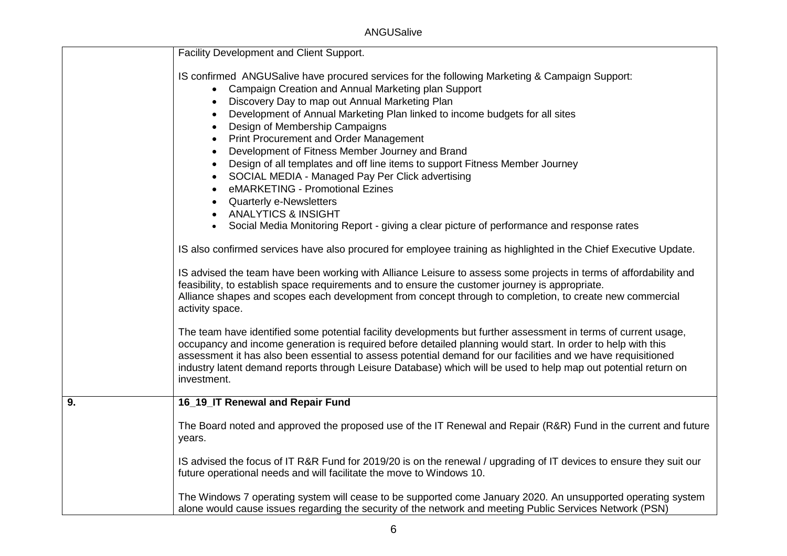ANGUSalive

|    | Facility Development and Client Support.                                                                                                                                                                                                                                                                                                                                                                                                                                                                                                                                                                                                                                                                                                                             |  |
|----|----------------------------------------------------------------------------------------------------------------------------------------------------------------------------------------------------------------------------------------------------------------------------------------------------------------------------------------------------------------------------------------------------------------------------------------------------------------------------------------------------------------------------------------------------------------------------------------------------------------------------------------------------------------------------------------------------------------------------------------------------------------------|--|
|    | IS confirmed ANGUSalive have procured services for the following Marketing & Campaign Support:<br>Campaign Creation and Annual Marketing plan Support<br>Discovery Day to map out Annual Marketing Plan<br>Development of Annual Marketing Plan linked to income budgets for all sites<br>Design of Membership Campaigns<br><b>Print Procurement and Order Management</b><br>Development of Fitness Member Journey and Brand<br>Design of all templates and off line items to support Fitness Member Journey<br>SOCIAL MEDIA - Managed Pay Per Click advertising<br>eMARKETING - Promotional Ezines<br><b>Quarterly e-Newsletters</b><br><b>ANALYTICS &amp; INSIGHT</b><br>Social Media Monitoring Report - giving a clear picture of performance and response rates |  |
|    | IS also confirmed services have also procured for employee training as highlighted in the Chief Executive Update.                                                                                                                                                                                                                                                                                                                                                                                                                                                                                                                                                                                                                                                    |  |
|    | IS advised the team have been working with Alliance Leisure to assess some projects in terms of affordability and<br>feasibility, to establish space requirements and to ensure the customer journey is appropriate.<br>Alliance shapes and scopes each development from concept through to completion, to create new commercial<br>activity space.                                                                                                                                                                                                                                                                                                                                                                                                                  |  |
|    | The team have identified some potential facility developments but further assessment in terms of current usage,<br>occupancy and income generation is required before detailed planning would start. In order to help with this<br>assessment it has also been essential to assess potential demand for our facilities and we have requisitioned<br>industry latent demand reports through Leisure Database) which will be used to help map out potential return on<br>investment.                                                                                                                                                                                                                                                                                   |  |
| 9. | 16_19_IT Renewal and Repair Fund                                                                                                                                                                                                                                                                                                                                                                                                                                                                                                                                                                                                                                                                                                                                     |  |
|    | The Board noted and approved the proposed use of the IT Renewal and Repair (R&R) Fund in the current and future<br>years.                                                                                                                                                                                                                                                                                                                                                                                                                                                                                                                                                                                                                                            |  |
|    | IS advised the focus of IT R&R Fund for 2019/20 is on the renewal / upgrading of IT devices to ensure they suit our<br>future operational needs and will facilitate the move to Windows 10.                                                                                                                                                                                                                                                                                                                                                                                                                                                                                                                                                                          |  |
|    | The Windows 7 operating system will cease to be supported come January 2020. An unsupported operating system<br>alone would cause issues regarding the security of the network and meeting Public Services Network (PSN)                                                                                                                                                                                                                                                                                                                                                                                                                                                                                                                                             |  |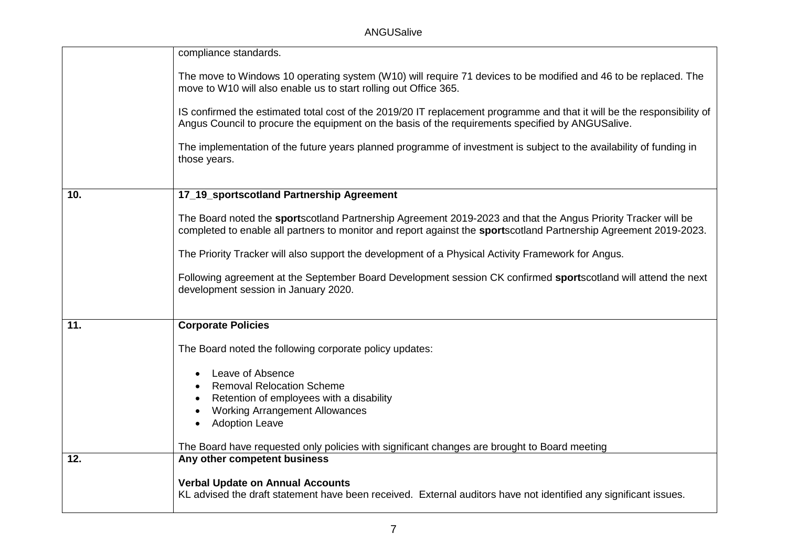|     | compliance standards.                                                                                                                                                                                                              |
|-----|------------------------------------------------------------------------------------------------------------------------------------------------------------------------------------------------------------------------------------|
|     | The move to Windows 10 operating system (W10) will require 71 devices to be modified and 46 to be replaced. The<br>move to W10 will also enable us to start rolling out Office 365.                                                |
|     | IS confirmed the estimated total cost of the 2019/20 IT replacement programme and that it will be the responsibility of<br>Angus Council to procure the equipment on the basis of the requirements specified by ANGUSalive.        |
|     | The implementation of the future years planned programme of investment is subject to the availability of funding in<br>those years.                                                                                                |
|     |                                                                                                                                                                                                                                    |
| 10. | 17_19_sportscotland Partnership Agreement                                                                                                                                                                                          |
|     | The Board noted the sportscotland Partnership Agreement 2019-2023 and that the Angus Priority Tracker will be<br>completed to enable all partners to monitor and report against the sportscotland Partnership Agreement 2019-2023. |
|     | The Priority Tracker will also support the development of a Physical Activity Framework for Angus.                                                                                                                                 |
|     | Following agreement at the September Board Development session CK confirmed sportscotland will attend the next<br>development session in January 2020.                                                                             |
| 11. | <b>Corporate Policies</b>                                                                                                                                                                                                          |
|     |                                                                                                                                                                                                                                    |
|     | The Board noted the following corporate policy updates:                                                                                                                                                                            |
|     | Leave of Absence                                                                                                                                                                                                                   |
|     | <b>Removal Relocation Scheme</b>                                                                                                                                                                                                   |
|     | Retention of employees with a disability                                                                                                                                                                                           |
|     | <b>Working Arrangement Allowances</b>                                                                                                                                                                                              |
|     | <b>Adoption Leave</b>                                                                                                                                                                                                              |
|     | The Board have requested only policies with significant changes are brought to Board meeting                                                                                                                                       |
| 12. | Any other competent business                                                                                                                                                                                                       |
|     |                                                                                                                                                                                                                                    |
|     | <b>Verbal Update on Annual Accounts</b><br>KL advised the draft statement have been received. External auditors have not identified any significant issues.                                                                        |
|     |                                                                                                                                                                                                                                    |